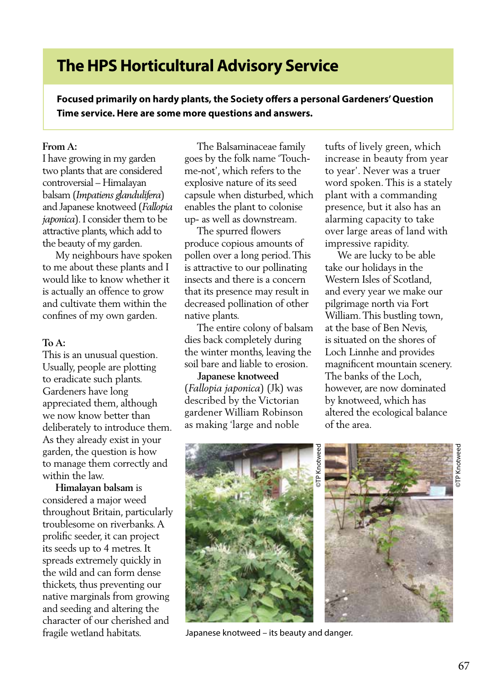## **The HPS Horticultural Advisory Service**

**Focused primarily on hardy plants, the Society offers a personal Gardeners' Question Time service. Here are some more questions and answers.**

## **From A:**

I have growing in my garden two plants that are considered controversial – Himalayan balsam (*Impatiens glandulifera*) and Japanese knotweed (*Fallopia japonica*). I consider them to be attractive plants, which add to the beauty of my garden.

 My neighbours have spoken to me about these plants and I would like to know whether it is actually an offence to grow and cultivate them within the confines of my own garden.

## **To A:**

This is an unusual question. Usually, people are plotting to eradicate such plants. Gardeners have long appreciated them, although we now know better than deliberately to introduce them. As they already exist in your garden, the question is how to manage them correctly and within the law.

 **Himalayan balsam** is considered a major weed throughout Britain, particularly troublesome on riverbanks. A prolific seeder, it can project its seeds up to 4 metres. It spreads extremely quickly in the wild and can form dense thickets, thus preventing our native marginals from growing and seeding and altering the character of our cherished and fragile wetland habitats.

 The Balsaminaceae family goes by the folk name 'Touchme-not', which refers to the explosive nature of its seed capsule when disturbed, which enables the plant to colonise up- as well as downstream.

 The spurred flowers produce copious amounts of pollen over a long period. This is attractive to our pollinating insects and there is a concern that its presence may result in decreased pollination of other native plants.

 The entire colony of balsam dies back completely during the winter months, leaving the soil bare and liable to erosion.

 **Japanese knotweed**  (*Fallopia japonica*) (Jk) was described by the Victorian gardener William Robinson as making 'large and noble

tufts of lively green, which increase in beauty from year to year'. Never was a truer word spoken. This is a stately plant with a commanding presence, but it also has an alarming capacity to take over large areas of land with impressive rapidity.

 We are lucky to be able take our holidays in the Western Isles of Scotland, and every year we make our pilgrimage north via Fort William. This bustling town, at the base of Ben Nevis, is situated on the shores of Loch Linnhe and provides magnificent mountain scenery. The banks of the Loch, however, are now dominated by knotweed, which has altered the ecological balance of the area.



Japanese knotweed – its beauty and danger.